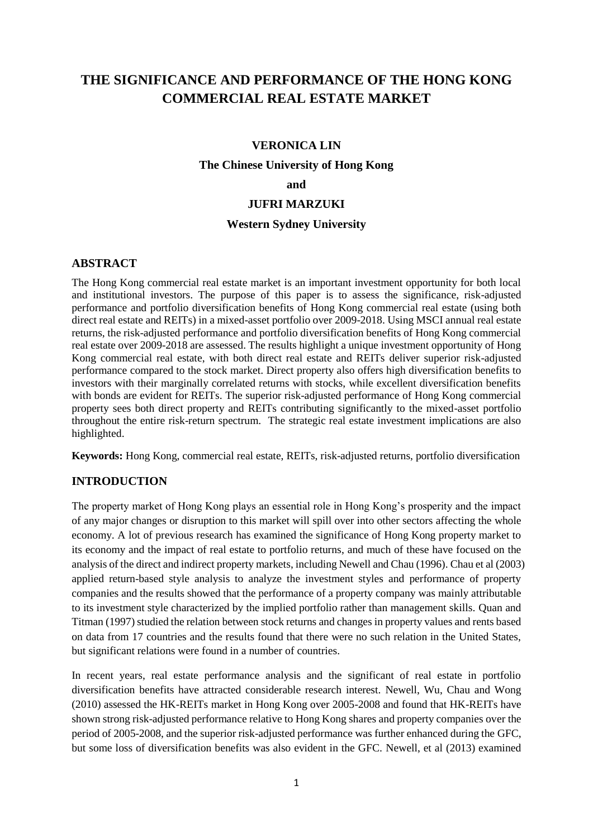# **THE SIGNIFICANCE AND PERFORMANCE OF THE HONG KONG COMMERCIAL REAL ESTATE MARKET**

### **VERONICA LIN**

#### **The Chinese University of Hong Kong**

#### **and**

### **JUFRI MARZUKI**

### **Western Sydney University**

#### **ABSTRACT**

The Hong Kong commercial real estate market is an important investment opportunity for both local and institutional investors. The purpose of this paper is to assess the significance, risk-adjusted performance and portfolio diversification benefits of Hong Kong commercial real estate (using both direct real estate and REITs) in a mixed-asset portfolio over 2009-2018. Using MSCI annual real estate returns, the risk-adjusted performance and portfolio diversification benefits of Hong Kong commercial real estate over 2009-2018 are assessed. The results highlight a unique investment opportunity of Hong Kong commercial real estate, with both direct real estate and REITs deliver superior risk-adjusted performance compared to the stock market. Direct property also offers high diversification benefits to investors with their marginally correlated returns with stocks, while excellent diversification benefits with bonds are evident for REITs. The superior risk-adjusted performance of Hong Kong commercial property sees both direct property and REITs contributing significantly to the mixed-asset portfolio throughout the entire risk-return spectrum. The strategic real estate investment implications are also highlighted.

**Keywords:** Hong Kong, commercial real estate, REITs, risk-adjusted returns, portfolio diversification

### **INTRODUCTION**

The property market of Hong Kong plays an essential role in Hong Kong's prosperity and the impact of any major changes or disruption to this market will spill over into other sectors affecting the whole economy. A lot of previous research has examined the significance of Hong Kong property market to its economy and the impact of real estate to portfolio returns, and much of these have focused on the analysis of the direct and indirect property markets, including Newell and Chau (1996). Chau et al (2003) applied return-based style analysis to analyze the investment styles and performance of property companies and the results showed that the performance of a property company was mainly attributable to its investment style characterized by the implied portfolio rather than management skills. Quan and Titman (1997) studied the relation between stock returns and changes in property values and rents based on data from 17 countries and the results found that there were no such relation in the United States, but significant relations were found in a number of countries.

In recent years, real estate performance analysis and the significant of real estate in portfolio diversification benefits have attracted considerable research interest. Newell, Wu, Chau and Wong (2010) assessed the HK-REITs market in Hong Kong over 2005-2008 and found that HK-REITs have shown strong risk-adjusted performance relative to Hong Kong shares and property companies over the period of 2005-2008, and the superior risk-adjusted performance was further enhanced during the GFC, but some loss of diversification benefits was also evident in the GFC. Newell, et al (2013) examined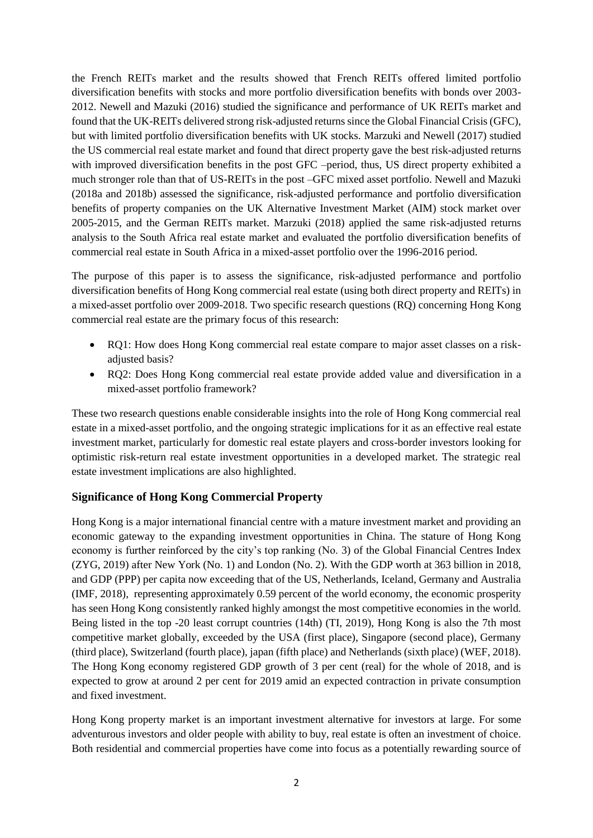the French REITs market and the results showed that French REITs offered limited portfolio diversification benefits with stocks and more portfolio diversification benefits with bonds over 2003- 2012. Newell and Mazuki (2016) studied the significance and performance of UK REITs market and found that the UK-REITs delivered strong risk-adjusted returns since the Global Financial Crisis (GFC), but with limited portfolio diversification benefits with UK stocks. Marzuki and Newell (2017) studied the US commercial real estate market and found that direct property gave the best risk-adjusted returns with improved diversification benefits in the post GFC –period, thus, US direct property exhibited a much stronger role than that of US-REITs in the post –GFC mixed asset portfolio. Newell and Mazuki (2018a and 2018b) assessed the significance, risk-adjusted performance and portfolio diversification benefits of property companies on the UK Alternative Investment Market (AIM) stock market over 2005-2015, and the German REITs market. Marzuki (2018) applied the same risk-adjusted returns analysis to the South Africa real estate market and evaluated the portfolio diversification benefits of commercial real estate in South Africa in a mixed-asset portfolio over the 1996-2016 period.

The purpose of this paper is to assess the significance, risk-adjusted performance and portfolio diversification benefits of Hong Kong commercial real estate (using both direct property and REITs) in a mixed-asset portfolio over 2009-2018. Two specific research questions (RQ) concerning Hong Kong commercial real estate are the primary focus of this research:

- RQ1: How does Hong Kong commercial real estate compare to major asset classes on a riskadjusted basis?
- RQ2: Does Hong Kong commercial real estate provide added value and diversification in a mixed-asset portfolio framework?

These two research questions enable considerable insights into the role of Hong Kong commercial real estate in a mixed-asset portfolio, and the ongoing strategic implications for it as an effective real estate investment market, particularly for domestic real estate players and cross-border investors looking for optimistic risk-return real estate investment opportunities in a developed market. The strategic real estate investment implications are also highlighted.

## **Significance of Hong Kong Commercial Property**

Hong Kong is a major international financial centre with a mature investment market and providing an economic gateway to the expanding investment opportunities in China. The stature of Hong Kong economy is further reinforced by the city's top ranking (No. 3) of the Global Financial Centres Index (ZYG, 2019) after New York (No. 1) and London (No. 2). With the GDP worth at 363 billion in 2018, and GDP (PPP) per capita now exceeding that of the US, Netherlands, Iceland, Germany and Australia (IMF, 2018), representing approximately 0.59 percent of the world economy, the economic prosperity has seen Hong Kong consistently ranked highly amongst the most competitive economies in the world. Being listed in the top -20 least corrupt countries (14th) (TI, 2019), Hong Kong is also the 7th most competitive market globally, exceeded by the USA (first place), Singapore (second place), Germany (third place), Switzerland (fourth place), japan (fifth place) and Netherlands (sixth place) (WEF, 2018). The Hong Kong economy registered GDP growth of 3 per cent (real) for the whole of 2018, and is expected to grow at around 2 per cent for 2019 amid an expected contraction in private consumption and fixed investment.

Hong Kong property market is an important investment alternative for investors at large. For some adventurous investors and older people with ability to buy, real estate is often an investment of choice. Both residential and commercial properties have come into focus as a potentially rewarding source of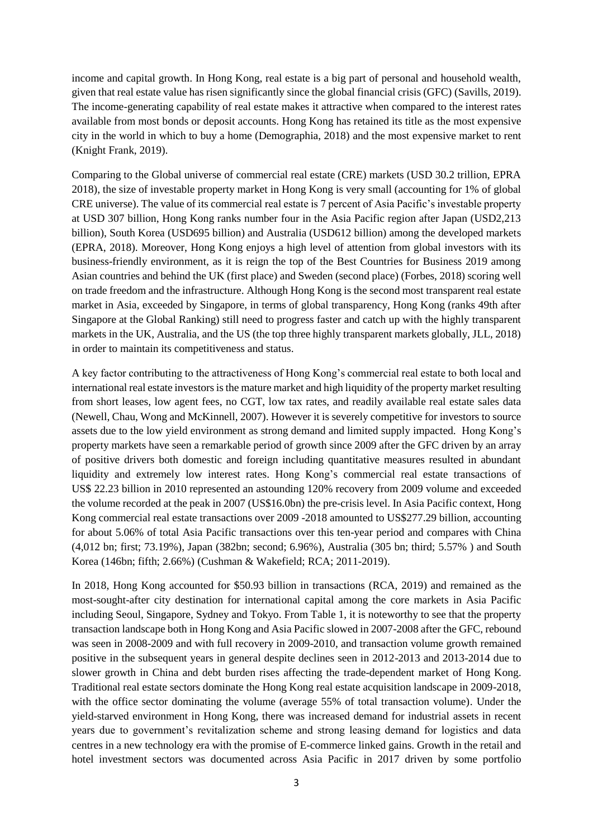income and capital growth. In Hong Kong, real estate is a big part of personal and household wealth, given that real estate value has risen significantly since the global financial crisis (GFC) (Savills, 2019). The income-generating capability of real estate makes it attractive when compared to the interest rates available from most bonds or deposit accounts. Hong Kong has retained its title as the most expensive city in the world in which to buy a home (Demographia, 2018) and the most expensive market to rent (Knight Frank, 2019).

Comparing to the Global universe of commercial real estate (CRE) markets (USD 30.2 trillion, EPRA 2018), the size of investable property market in Hong Kong is very small (accounting for 1% of global CRE universe). The value of its commercial real estate is 7 percent of Asia Pacific's investable property at USD 307 billion, Hong Kong ranks number four in the Asia Pacific region after Japan (USD2,213 billion), South Korea (USD695 billion) and Australia (USD612 billion) among the developed markets (EPRA, 2018). Moreover, Hong Kong enjoys a high level of attention from global investors with its business-friendly environment, as it is reign the top of the Best Countries for Business 2019 among Asian countries and behind the UK (first place) and Sweden (second place) (Forbes, 2018) scoring well on trade freedom and the infrastructure. Although Hong Kong is the second most transparent real estate market in Asia, exceeded by Singapore, in terms of global transparency, Hong Kong (ranks 49th after Singapore at the Global Ranking) still need to progress faster and catch up with the highly transparent markets in the UK, Australia, and the US (the top three highly transparent markets globally, JLL, 2018) in order to maintain its competitiveness and status.

A key factor contributing to the attractiveness of Hong Kong's commercial real estate to both local and international real estate investors is the mature market and high liquidity of the property market resulting from short leases, low agent fees, no CGT, low tax rates, and readily available real estate sales data (Newell, Chau, Wong and McKinnell, 2007). However it is severely competitive for investors to source assets due to the low yield environment as strong demand and limited supply impacted. Hong Kong's property markets have seen a remarkable period of growth since 2009 after the GFC driven by an array of positive drivers both domestic and foreign including quantitative measures resulted in abundant liquidity and extremely low interest rates. Hong Kong's commercial real estate transactions of US\$ 22.23 billion in 2010 represented an astounding 120% recovery from 2009 volume and exceeded the volume recorded at the peak in 2007 (US\$16.0bn) the pre-crisis level. In Asia Pacific context, Hong Kong commercial real estate transactions over 2009 -2018 amounted to US\$277.29 billion, accounting for about 5.06% of total Asia Pacific transactions over this ten-year period and compares with China (4,012 bn; first; 73.19%), Japan (382bn; second; 6.96%), Australia (305 bn; third; 5.57% ) and South Korea (146bn; fifth; 2.66%) (Cushman & Wakefield; RCA; 2011-2019).

In 2018, Hong Kong accounted for \$50.93 billion in transactions (RCA, 2019) and remained as the most-sought-after city destination for international capital among the core markets in Asia Pacific including Seoul, Singapore, Sydney and Tokyo. From Table 1, it is noteworthy to see that the property transaction landscape both in Hong Kong and Asia Pacific slowed in 2007-2008 after the GFC, rebound was seen in 2008-2009 and with full recovery in 2009-2010, and transaction volume growth remained positive in the subsequent years in general despite declines seen in 2012-2013 and 2013-2014 due to slower growth in China and debt burden rises affecting the trade-dependent market of Hong Kong. Traditional real estate sectors dominate the Hong Kong real estate acquisition landscape in 2009-2018, with the office sector dominating the volume (average 55% of total transaction volume). Under the yield-starved environment in Hong Kong, there was increased demand for industrial assets in recent years due to government's revitalization scheme and strong leasing demand for logistics and data centres in a new technology era with the promise of E-commerce linked gains. Growth in the retail and hotel investment sectors was documented across Asia Pacific in 2017 driven by some portfolio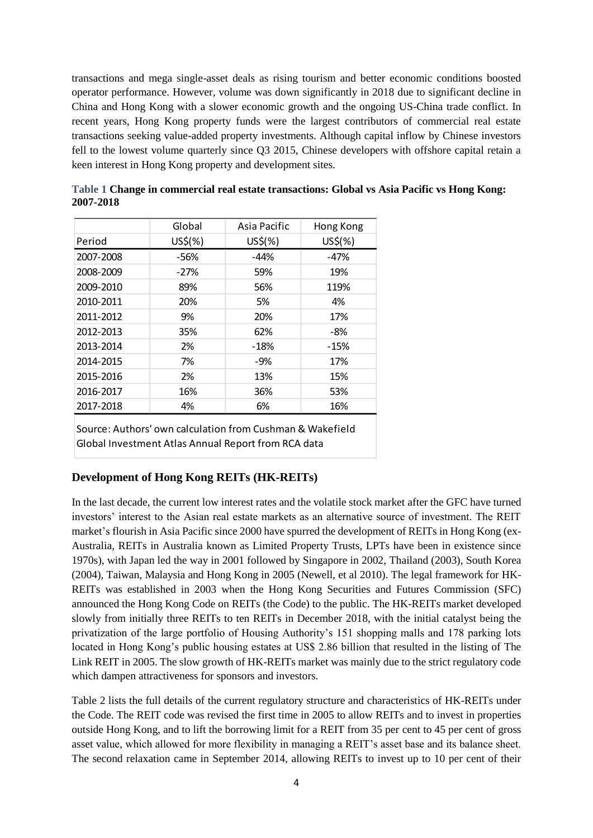transactions and mega single-asset deals as rising tourism and better economic conditions boosted operator performance. However, volume was down significantly in 2018 due to significant decline in China and Hong Kong with a slower economic growth and the ongoing US-China trade conflict. In recent years, Hong Kong property funds were the largest contributors of commercial real estate transactions seeking value-added property investments. Although capital inflow by Chinese investors fell to the lowest volume quarterly since Q3 2015, Chinese developers with offshore capital retain a keen interest in Hong Kong property and development sites.

|           | Global  | Asia Pacific | Hong Kong |
|-----------|---------|--------------|-----------|
| Period    | US\$(%) | US\$(%)      | US\$(%)   |
| 2007-2008 | -56%    | $-44%$       | $-47%$    |
| 2008-2009 | $-27%$  | 59%          | 19%       |
| 2009-2010 | 89%     | 56%          | 119%      |
| 2010-2011 | 20%     | 5%           | 4%        |
| 2011-2012 | 9%      | 20%          | 17%       |
| 2012-2013 | 35%     | 62%          | -8%       |
| 2013-2014 | 2%      | -18%         | $-15%$    |
| 2014-2015 | 7%      | $-9%$        | 17%       |
| 2015-2016 | 2%      | 13%          | 15%       |
| 2016-2017 | 16%     | 36%          | 53%       |
| 2017-2018 | 4%      | 6%           | 16%       |

**Table 1 Change in commercial real estate transactions: Global vs Asia Pacific vs Hong Kong: 2007-2018**

Source: Authors' own calculation from Cushman & Wakefield Global Investment Atlas Annual Report from RCA data

### **Development of Hong Kong REITs (HK-REITs)**

In the last decade, the current low interest rates and the volatile stock market after the GFC have turned investors' interest to the Asian real estate markets as an alternative source of investment. The REIT market's flourish in Asia Pacific since 2000 have spurred the development of REITs in Hong Kong (ex-Australia, REITs in Australia known as Limited Property Trusts, LPTs have been in existence since 1970s), with Japan led the way in 2001 followed by Singapore in 2002, Thailand (2003), South Korea (2004), Taiwan, Malaysia and Hong Kong in 2005 (Newell, et al 2010). The legal framework for HK-REITs was established in 2003 when the Hong Kong Securities and Futures Commission (SFC) announced the Hong Kong Code on REITs (the Code) to the public. The HK-REITs market developed slowly from initially three REITs to ten REITs in December 2018, with the initial catalyst being the privatization of the large portfolio of Housing Authority's 151 shopping malls and 178 parking lots located in Hong Kong's public housing estates at US\$ 2.86 billion that resulted in the listing of The Link REIT in 2005. The slow growth of HK-REITs market was mainly due to the strict regulatory code which dampen attractiveness for sponsors and investors.

Table 2 lists the full details of the current regulatory structure and characteristics of HK-REITs under the Code. The REIT code was revised the first time in 2005 to allow REITs and to invest in properties outside Hong Kong, and to lift the borrowing limit for a REIT from 35 per cent to 45 per cent of gross asset value, which allowed for more flexibility in managing a REIT's asset base and its balance sheet. The second relaxation came in September 2014, allowing REITs to invest up to 10 per cent of their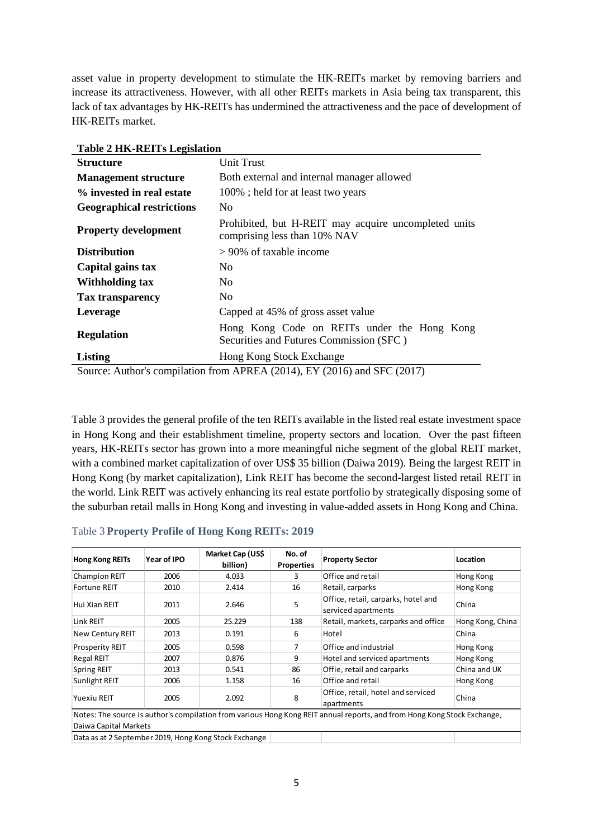asset value in property development to stimulate the HK-REITs market by removing barriers and increase its attractiveness. However, with all other REITs markets in Asia being tax transparent, this lack of tax advantages by HK-REITs has undermined the attractiveness and the pace of development of HK-REITs market.

| THREE 4 HR-REITS LEGISIATION     |                                                                                        |  |  |  |
|----------------------------------|----------------------------------------------------------------------------------------|--|--|--|
| <b>Structure</b>                 | Unit Trust                                                                             |  |  |  |
| <b>Management structure</b>      | Both external and internal manager allowed                                             |  |  |  |
| % invested in real estate        | 100%; held for at least two years                                                      |  |  |  |
| <b>Geographical restrictions</b> | N <sub>0</sub>                                                                         |  |  |  |
| <b>Property development</b>      | Prohibited, but H-REIT may acquire uncompleted units<br>comprising less than 10% NAV   |  |  |  |
| <b>Distribution</b>              | $> 90\%$ of taxable income                                                             |  |  |  |
| Capital gains tax                | N <sub>0</sub>                                                                         |  |  |  |
| Withholding tax                  | N <sub>0</sub>                                                                         |  |  |  |
| <b>Tax transparency</b>          | N <sub>0</sub>                                                                         |  |  |  |
| Leverage                         | Capped at 45% of gross asset value                                                     |  |  |  |
| <b>Regulation</b>                | Hong Kong Code on REITs under the Hong Kong<br>Securities and Futures Commission (SFC) |  |  |  |
| Listing                          | Hong Kong Stock Exchange                                                               |  |  |  |
|                                  | $\gamma$ Course: Author's compilation from ADDEA (2014) EV (2016) and SEC (2017)       |  |  |  |

**Table 2 HK-REITs Legislation**

Source: Author's compilation from APREA (2014), EY (2016) and SFC (2017)

Table 3 provides the general profile of the ten REITs available in the listed real estate investment space in Hong Kong and their establishment timeline, property sectors and location. Over the past fifteen years, HK-REITs sector has grown into a more meaningful niche segment of the global REIT market, with a combined market capitalization of over US\$ 35 billion (Daiwa 2019). Being the largest REIT in Hong Kong (by market capitalization), Link REIT has become the second-largest listed retail REIT in the world. Link REIT was actively enhancing its real estate portfolio by strategically disposing some of the suburban retail malls in Hong Kong and investing in value-added assets in Hong Kong and China.

| Table 3 Property Profile of Hong Kong REITs: 2019 |
|---------------------------------------------------|
|---------------------------------------------------|

| <b>Hong Kong REITs</b>  | Year of IPO | Market Cap (US\$<br>billion)                               | No. of<br><b>Properties</b> | <b>Property Sector</b>                                                                                                   | Location         |
|-------------------------|-------------|------------------------------------------------------------|-----------------------------|--------------------------------------------------------------------------------------------------------------------------|------------------|
| <b>Champion REIT</b>    | 2006        | 4.033                                                      | 3                           | Office and retail                                                                                                        | Hong Kong        |
| <b>Fortune REIT</b>     | 2010        | 2.414                                                      | 16                          | Retail, carparks                                                                                                         | Hong Kong        |
| Hui Xian REIT           | 2011        | 2.646                                                      | 5                           | Office, retail, carparks, hotel and<br>serviced apartments                                                               | China            |
| Link REIT               | 2005        | 25.229                                                     | 138                         | Retail, markets, carparks and office                                                                                     | Hong Kong, China |
| <b>New Century REIT</b> | 2013        | 0.191                                                      | 6                           | Hotel                                                                                                                    | China            |
| <b>Prosperity REIT</b>  | 2005        | 0.598                                                      |                             | Office and industrial                                                                                                    | Hong Kong        |
| <b>Regal REIT</b>       | 2007        | 0.876                                                      | 9                           | Hotel and serviced apartments                                                                                            | Hong Kong        |
| <b>Spring REIT</b>      | 2013        | 0.541                                                      | 86                          | Offie, retail and carparks                                                                                               | China and UK     |
| Sunlight REIT           | 2006        | 1.158                                                      | 16                          | Office and retail                                                                                                        | Hong Kong        |
| <b>Yuexiu REIT</b>      | 2005        | 2.092                                                      | 8                           | Office, retail, hotel and serviced<br>apartments                                                                         | China            |
|                         |             |                                                            |                             | Notes: The source is author's compilation from various Hong Kong REIT annual reports, and from Hong Kong Stock Exchange, |                  |
| Daiwa Capital Markets   |             | Dete en et 3 Contant les 3040. Henre Roue Ctael: Euclasses |                             |                                                                                                                          |                  |

Data as at 2 September 2019, Hong Kong Stock Exchange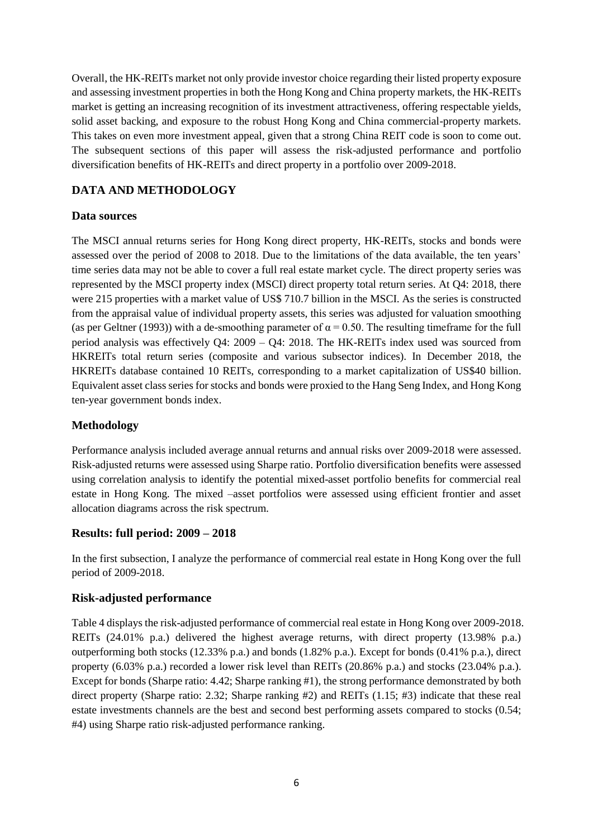Overall, the HK-REITs market not only provide investor choice regarding their listed property exposure and assessing investment properties in both the Hong Kong and China property markets, the HK-REITs market is getting an increasing recognition of its investment attractiveness, offering respectable yields, solid asset backing, and exposure to the robust Hong Kong and China commercial-property markets. This takes on even more investment appeal, given that a strong China REIT code is soon to come out. The subsequent sections of this paper will assess the risk-adjusted performance and portfolio diversification benefits of HK-REITs and direct property in a portfolio over 2009-2018.

## **DATA AND METHODOLOGY**

## **Data sources**

The MSCI annual returns series for Hong Kong direct property, HK-REITs, stocks and bonds were assessed over the period of 2008 to 2018. Due to the limitations of the data available, the ten years' time series data may not be able to cover a full real estate market cycle. The direct property series was represented by the MSCI property index (MSCI) direct property total return series. At Q4: 2018, there were 215 properties with a market value of US\$ 710.7 billion in the MSCI. As the series is constructed from the appraisal value of individual property assets, this series was adjusted for valuation smoothing (as per Geltner (1993)) with a de-smoothing parameter of  $\alpha = 0.50$ . The resulting timeframe for the full period analysis was effectively Q4: 2009 – Q4: 2018. The HK-REITs index used was sourced from HKREITs total return series (composite and various subsector indices). In December 2018, the HKREITs database contained 10 REITs, corresponding to a market capitalization of US\$40 billion. Equivalent asset class series for stocks and bonds were proxied to the Hang Seng Index, and Hong Kong ten-year government bonds index.

## **Methodology**

Performance analysis included average annual returns and annual risks over 2009-2018 were assessed. Risk-adjusted returns were assessed using Sharpe ratio. Portfolio diversification benefits were assessed using correlation analysis to identify the potential mixed-asset portfolio benefits for commercial real estate in Hong Kong. The mixed –asset portfolios were assessed using efficient frontier and asset allocation diagrams across the risk spectrum.

### **Results: full period: 2009 – 2018**

In the first subsection, I analyze the performance of commercial real estate in Hong Kong over the full period of 2009-2018.

### **Risk-adjusted performance**

Table 4 displays the risk-adjusted performance of commercial real estate in Hong Kong over 2009-2018. REITs (24.01% p.a.) delivered the highest average returns, with direct property (13.98% p.a.) outperforming both stocks (12.33% p.a.) and bonds (1.82% p.a.). Except for bonds (0.41% p.a.), direct property (6.03% p.a.) recorded a lower risk level than REITs (20.86% p.a.) and stocks (23.04% p.a.). Except for bonds (Sharpe ratio: 4.42; Sharpe ranking #1), the strong performance demonstrated by both direct property (Sharpe ratio: 2.32; Sharpe ranking #2) and REITs (1.15; #3) indicate that these real estate investments channels are the best and second best performing assets compared to stocks (0.54; #4) using Sharpe ratio risk-adjusted performance ranking.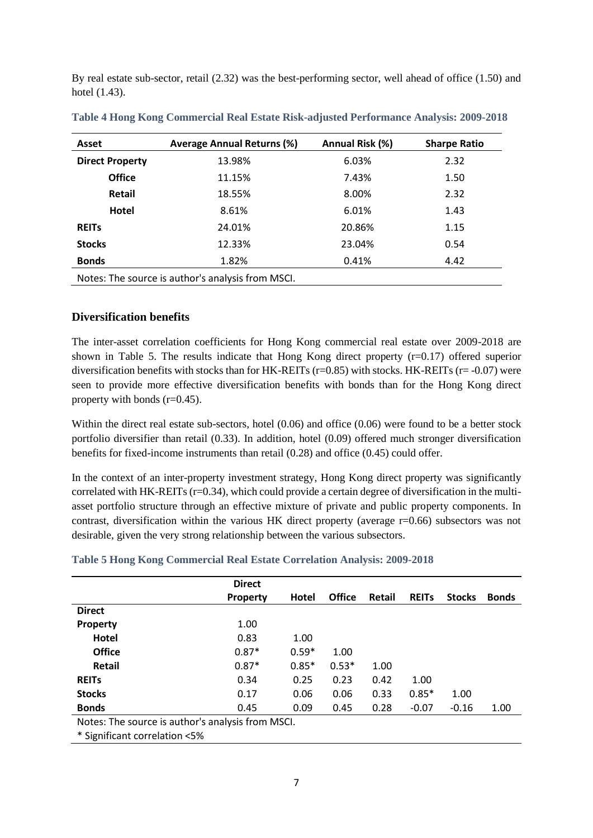By real estate sub-sector, retail (2.32) was the best-performing sector, well ahead of office (1.50) and hotel (1.43).

| Asset                                             | <b>Average Annual Returns (%)</b> | Annual Risk (%) | <b>Sharpe Ratio</b> |  |  |  |  |
|---------------------------------------------------|-----------------------------------|-----------------|---------------------|--|--|--|--|
| <b>Direct Property</b>                            | 13.98%                            | 6.03%           | 2.32                |  |  |  |  |
| <b>Office</b>                                     | 11.15%                            | 7.43%           | 1.50                |  |  |  |  |
| Retail                                            | 18.55%                            | 8.00%           | 2.32                |  |  |  |  |
| Hotel                                             | 8.61%                             | 6.01%           | 1.43                |  |  |  |  |
| <b>REITS</b>                                      | 24.01%                            | 20.86%          | 1.15                |  |  |  |  |
| <b>Stocks</b>                                     | 12.33%                            | 23.04%          | 0.54                |  |  |  |  |
| <b>Bonds</b>                                      | 1.82%                             | 0.41%           | 4.42                |  |  |  |  |
| Notes: The source is author's analysis from MSCI. |                                   |                 |                     |  |  |  |  |

**Table 4 Hong Kong Commercial Real Estate Risk-adjusted Performance Analysis: 2009-2018**

### **Diversification benefits**

The inter-asset correlation coefficients for Hong Kong commercial real estate over 2009-2018 are shown in Table 5. The results indicate that Hong Kong direct property (r=0.17) offered superior diversification benefits with stocks than for HK-REITs ( $r=0.85$ ) with stocks. HK-REITs ( $r=-0.07$ ) were seen to provide more effective diversification benefits with bonds than for the Hong Kong direct property with bonds (r=0.45).

Within the direct real estate sub-sectors, hotel (0.06) and office (0.06) were found to be a better stock portfolio diversifier than retail (0.33). In addition, hotel (0.09) offered much stronger diversification benefits for fixed-income instruments than retail (0.28) and office (0.45) could offer.

In the context of an inter-property investment strategy, Hong Kong direct property was significantly correlated with HK-REITs  $(r=0.34)$ , which could provide a certain degree of diversification in the multiasset portfolio structure through an effective mixture of private and public property components. In contrast, diversification within the various HK direct property (average r=0.66) subsectors was not desirable, given the very strong relationship between the various subsectors.

|  | Table 5 Hong Kong Commercial Real Estate Correlation Analysis: 2009-2018 |  |  |
|--|--------------------------------------------------------------------------|--|--|
|  |                                                                          |  |  |

|                                                   | <b>Direct</b>   |         |               |               |              |               |              |
|---------------------------------------------------|-----------------|---------|---------------|---------------|--------------|---------------|--------------|
|                                                   | <b>Property</b> | Hotel   | <b>Office</b> | <b>Retail</b> | <b>REITS</b> | <b>Stocks</b> | <b>Bonds</b> |
| <b>Direct</b>                                     |                 |         |               |               |              |               |              |
| Property                                          | 1.00            |         |               |               |              |               |              |
| Hotel                                             | 0.83            | 1.00    |               |               |              |               |              |
| <b>Office</b>                                     | $0.87*$         | $0.59*$ | 1.00          |               |              |               |              |
| Retail                                            | $0.87*$         | $0.85*$ | $0.53*$       | 1.00          |              |               |              |
| <b>REITS</b>                                      | 0.34            | 0.25    | 0.23          | 0.42          | 1.00         |               |              |
| <b>Stocks</b>                                     | 0.17            | 0.06    | 0.06          | 0.33          | $0.85*$      | 1.00          |              |
| <b>Bonds</b>                                      | 0.45            | 0.09    | 0.45          | 0.28          | $-0.07$      | $-0.16$       | 1.00         |
| Notes: The source is author's analysis from MSCI. |                 |         |               |               |              |               |              |
| * Cianificant corrolation >E%                     |                 |         |               |               |              |               |              |

\* Significant correlation <5%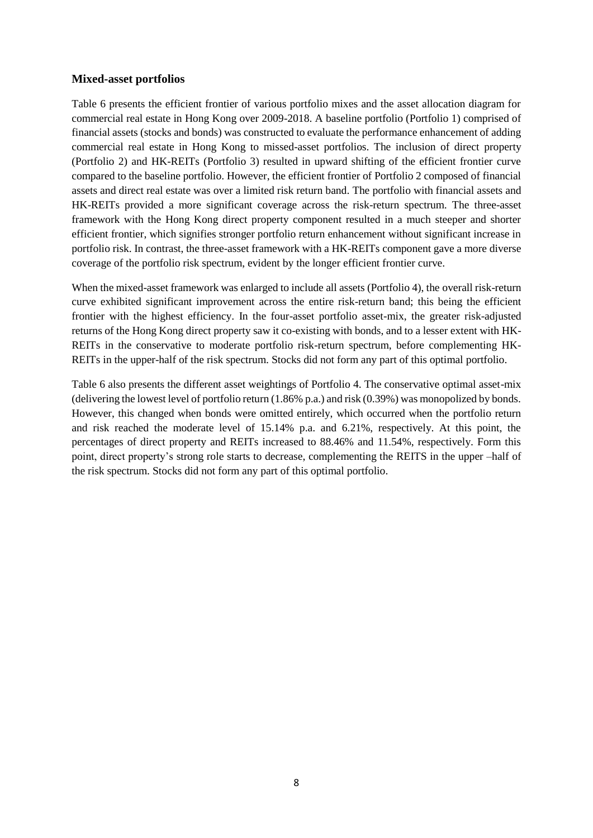### **Mixed-asset portfolios**

Table 6 presents the efficient frontier of various portfolio mixes and the asset allocation diagram for commercial real estate in Hong Kong over 2009-2018. A baseline portfolio (Portfolio 1) comprised of financial assets (stocks and bonds) was constructed to evaluate the performance enhancement of adding commercial real estate in Hong Kong to missed-asset portfolios. The inclusion of direct property (Portfolio 2) and HK-REITs (Portfolio 3) resulted in upward shifting of the efficient frontier curve compared to the baseline portfolio. However, the efficient frontier of Portfolio 2 composed of financial assets and direct real estate was over a limited risk return band. The portfolio with financial assets and HK-REITs provided a more significant coverage across the risk-return spectrum. The three-asset framework with the Hong Kong direct property component resulted in a much steeper and shorter efficient frontier, which signifies stronger portfolio return enhancement without significant increase in portfolio risk. In contrast, the three-asset framework with a HK-REITs component gave a more diverse coverage of the portfolio risk spectrum, evident by the longer efficient frontier curve.

When the mixed-asset framework was enlarged to include all assets (Portfolio 4), the overall risk-return curve exhibited significant improvement across the entire risk-return band; this being the efficient frontier with the highest efficiency. In the four-asset portfolio asset-mix, the greater risk-adjusted returns of the Hong Kong direct property saw it co-existing with bonds, and to a lesser extent with HK-REITs in the conservative to moderate portfolio risk-return spectrum, before complementing HK-REITs in the upper-half of the risk spectrum. Stocks did not form any part of this optimal portfolio.

Table 6 also presents the different asset weightings of Portfolio 4. The conservative optimal asset-mix (delivering the lowest level of portfolio return (1.86% p.a.) and risk (0.39%) was monopolized by bonds. However, this changed when bonds were omitted entirely, which occurred when the portfolio return and risk reached the moderate level of 15.14% p.a. and 6.21%, respectively. At this point, the percentages of direct property and REITs increased to 88.46% and 11.54%, respectively. Form this point, direct property's strong role starts to decrease, complementing the REITS in the upper –half of the risk spectrum. Stocks did not form any part of this optimal portfolio.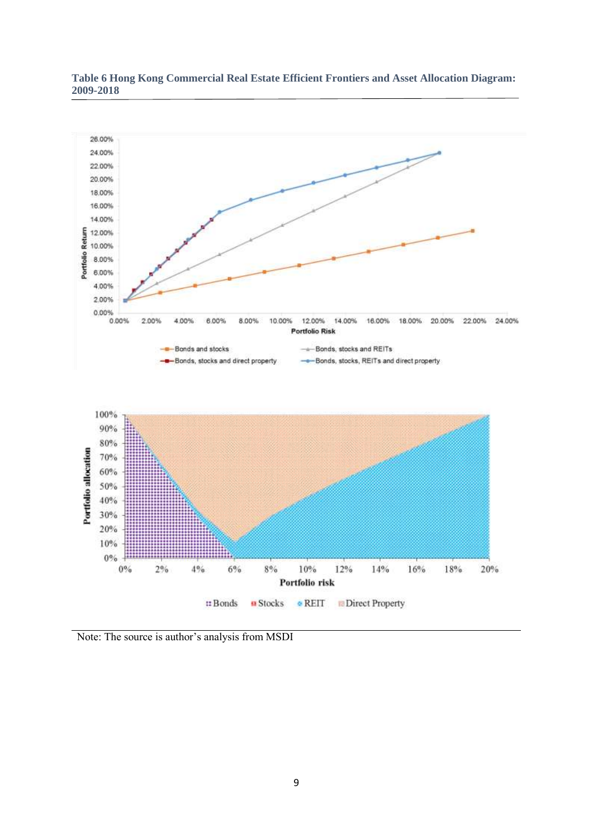

#### **Table 6 Hong Kong Commercial Real Estate Efficient Frontiers and Asset Allocation Diagram: 2009-2018**

Note: The source is author's analysis from MSDI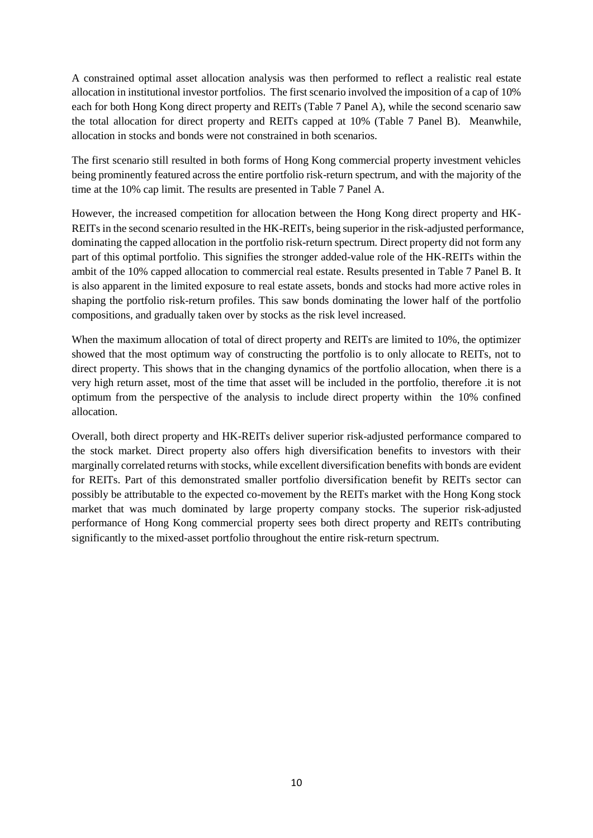A constrained optimal asset allocation analysis was then performed to reflect a realistic real estate allocation in institutional investor portfolios. The first scenario involved the imposition of a cap of 10% each for both Hong Kong direct property and REITs (Table 7 Panel A), while the second scenario saw the total allocation for direct property and REITs capped at 10% (Table 7 Panel B). Meanwhile, allocation in stocks and bonds were not constrained in both scenarios.

The first scenario still resulted in both forms of Hong Kong commercial property investment vehicles being prominently featured across the entire portfolio risk-return spectrum, and with the majority of the time at the 10% cap limit. The results are presented in Table 7 Panel A.

However, the increased competition for allocation between the Hong Kong direct property and HK-REITs in the second scenario resulted in the HK-REITs, being superior in the risk-adjusted performance, dominating the capped allocation in the portfolio risk-return spectrum. Direct property did not form any part of this optimal portfolio. This signifies the stronger added-value role of the HK-REITs within the ambit of the 10% capped allocation to commercial real estate. Results presented in Table 7 Panel B. It is also apparent in the limited exposure to real estate assets, bonds and stocks had more active roles in shaping the portfolio risk-return profiles. This saw bonds dominating the lower half of the portfolio compositions, and gradually taken over by stocks as the risk level increased.

When the maximum allocation of total of direct property and REITs are limited to 10%, the optimizer showed that the most optimum way of constructing the portfolio is to only allocate to REITs, not to direct property. This shows that in the changing dynamics of the portfolio allocation, when there is a very high return asset, most of the time that asset will be included in the portfolio, therefore .it is not optimum from the perspective of the analysis to include direct property within the 10% confined allocation.

Overall, both direct property and HK-REITs deliver superior risk-adjusted performance compared to the stock market. Direct property also offers high diversification benefits to investors with their marginally correlated returns with stocks, while excellent diversification benefits with bonds are evident for REITs. Part of this demonstrated smaller portfolio diversification benefit by REITs sector can possibly be attributable to the expected co-movement by the REITs market with the Hong Kong stock market that was much dominated by large property company stocks. The superior risk-adjusted performance of Hong Kong commercial property sees both direct property and REITs contributing significantly to the mixed-asset portfolio throughout the entire risk-return spectrum.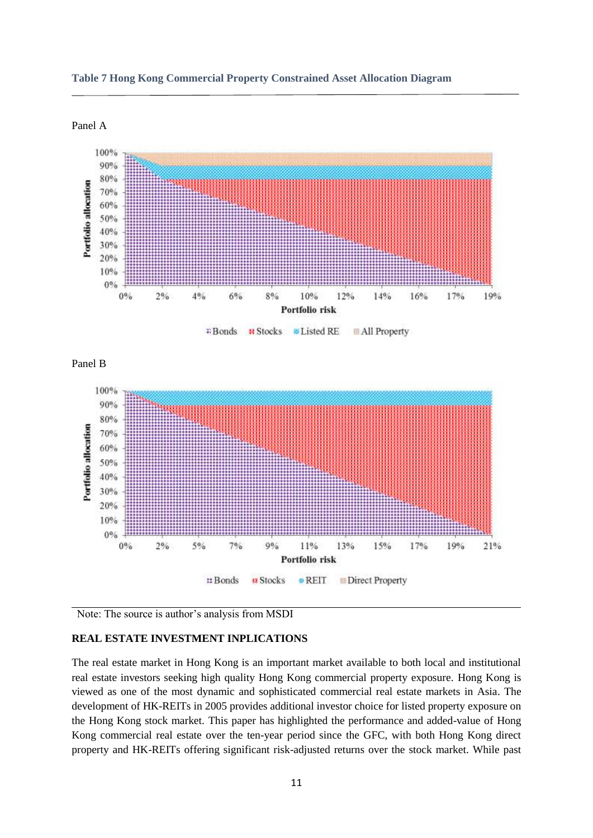





#### **REAL ESTATE INVESTMENT INPLICATIONS**

The real estate market in Hong Kong is an important market available to both local and institutional real estate investors seeking high quality Hong Kong commercial property exposure. Hong Kong is viewed as one of the most dynamic and sophisticated commercial real estate markets in Asia. The development of HK-REITs in 2005 provides additional investor choice for listed property exposure on the Hong Kong stock market. This paper has highlighted the performance and added-value of Hong Kong commercial real estate over the ten-year period since the GFC, with both Hong Kong direct property and HK-REITs offering significant risk-adjusted returns over the stock market. While past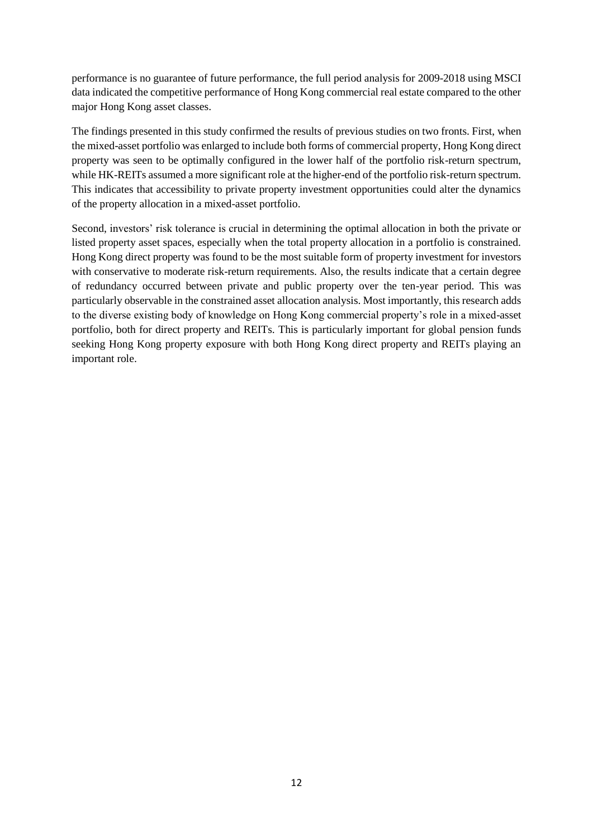performance is no guarantee of future performance, the full period analysis for 2009-2018 using MSCI data indicated the competitive performance of Hong Kong commercial real estate compared to the other major Hong Kong asset classes.

The findings presented in this study confirmed the results of previous studies on two fronts. First, when the mixed-asset portfolio was enlarged to include both forms of commercial property, Hong Kong direct property was seen to be optimally configured in the lower half of the portfolio risk-return spectrum, while HK-REITs assumed a more significant role at the higher-end of the portfolio risk-return spectrum. This indicates that accessibility to private property investment opportunities could alter the dynamics of the property allocation in a mixed-asset portfolio.

Second, investors' risk tolerance is crucial in determining the optimal allocation in both the private or listed property asset spaces, especially when the total property allocation in a portfolio is constrained. Hong Kong direct property was found to be the most suitable form of property investment for investors with conservative to moderate risk-return requirements. Also, the results indicate that a certain degree of redundancy occurred between private and public property over the ten-year period. This was particularly observable in the constrained asset allocation analysis. Most importantly, this research adds to the diverse existing body of knowledge on Hong Kong commercial property's role in a mixed-asset portfolio, both for direct property and REITs. This is particularly important for global pension funds seeking Hong Kong property exposure with both Hong Kong direct property and REITs playing an important role.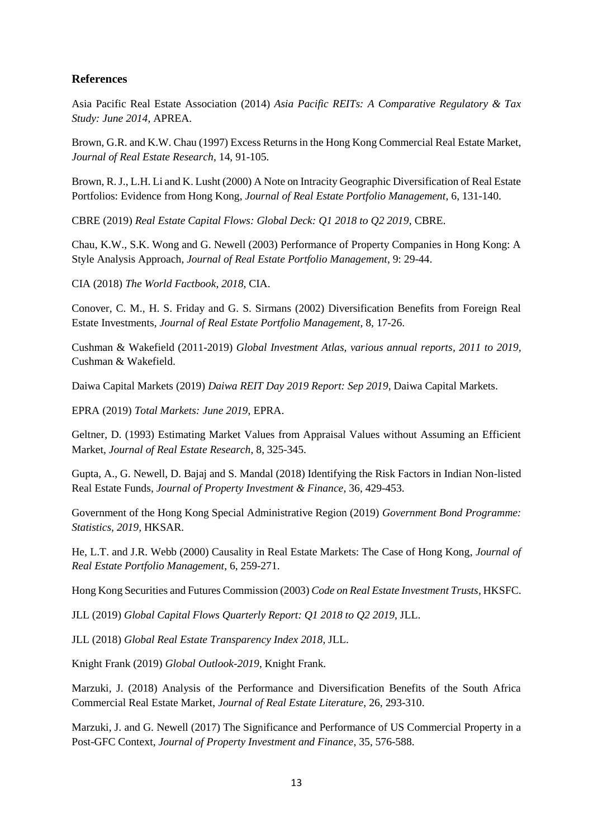## **References**

Asia Pacific Real Estate Association (2014) *Asia Pacific REITs: A Comparative Regulatory & Tax Study: June 2014*, APREA.

Brown, G.R. and K.W. Chau (1997) Excess Returns in the Hong Kong Commercial Real Estate Market, *Journal of Real Estate Research*, 14, 91-105.

Brown, R. J., L.H. Li and K. Lusht (2000) A Note on Intracity Geographic Diversification of Real Estate Portfolios: Evidence from Hong Kong, *Journal of Real Estate Portfolio Management*, 6, 131-140.

CBRE (2019) *Real Estate Capital Flows: Global Deck: Q1 2018 to Q2 2019*, CBRE.

Chau, K.W., S.K. Wong and G. Newell (2003) Performance of Property Companies in Hong Kong: A Style Analysis Approach, *Journal of Real Estate Portfolio Management*, 9: 29-44.

CIA (2018) *The World Factbook, 2018*, CIA.

Conover, C. M., H. S. Friday and G. S. Sirmans (2002) Diversification Benefits from Foreign Real Estate Investments, *Journal of Real Estate Portfolio Management*, 8, 17-26.

Cushman & Wakefield (2011-2019) *Global Investment Atlas, various annual reports, 2011 to 2019,* Cushman & Wakefield.

Daiwa Capital Markets (2019) *Daiwa REIT Day 2019 Report: Sep 2019*, Daiwa Capital Markets.

EPRA (2019) *Total Markets: June 2019*, EPRA.

Geltner, D. (1993) Estimating Market Values from Appraisal Values without Assuming an Efficient Market, *Journal of Real Estate Research*, 8, 325-345.

Gupta, A., G. Newell, D. Bajaj and S. Mandal (2018) Identifying the Risk Factors in Indian Non-listed Real Estate Funds, *Journal of Property Investment & Finance*, 36, 429-453.

Government of the Hong Kong Special Administrative Region (2019) *Government Bond Programme: Statistics, 2019,* HKSAR.

He, L.T. and J.R. Webb (2000) Causality in Real Estate Markets: The Case of Hong Kong, *Journal of Real Estate Portfolio Management*, 6, 259-271.

Hong Kong Securities and Futures Commission (2003) *Code on Real Estate Investment Trusts*, HKSFC.

JLL (2019) *Global Capital Flows Quarterly Report: Q1 2018 to Q2 2019*, JLL.

JLL (2018) *Global Real Estate Transparency Index 2018*, JLL.

Knight Frank (2019) *Global Outlook-2019*, Knight Frank.

Marzuki, J. (2018) Analysis of the Performance and Diversification Benefits of the South Africa Commercial Real Estate Market, *Journal of Real Estate Literature*, 26, 293-310.

Marzuki, J. and G. Newell (2017) The Significance and Performance of US Commercial Property in a Post-GFC Context, *Journal of Property Investment and Finance*, 35, 576-588.